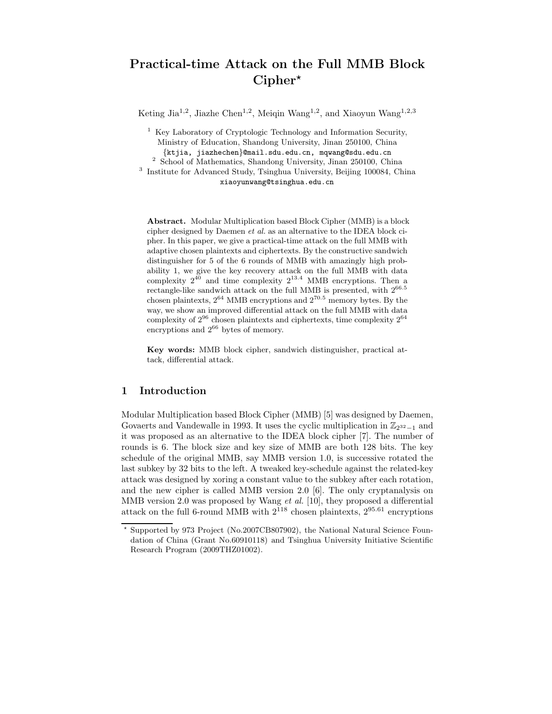# Practical-time Attack on the Full MMB Block  $Cipher^{\star}$

Keting Jia<sup>1,2</sup>, Jiazhe Chen<sup>1,2</sup>, Meiqin Wang<sup>1,2</sup>, and Xiaoyun Wang<sup>1,2,3</sup>

<sup>1</sup> Key Laboratory of Cryptologic Technology and Information Security, Ministry of Education, Shandong University, Jinan 250100, China {ktjia, jiazhechen}@mail.sdu.edu.cn, mqwang@sdu.edu.cn

2 School of Mathematics, Shandong University, Jinan 250100, China

<sup>3</sup> Institute for Advanced Study, Tsinghua University, Beijing 100084, China xiaoyunwang@tsinghua.edu.cn

Abstract. Modular Multiplication based Block Cipher (MMB) is a block cipher designed by Daemen et al. as an alternative to the IDEA block cipher. In this paper, we give a practical-time attack on the full MMB with adaptive chosen plaintexts and ciphertexts. By the constructive sandwich distinguisher for 5 of the 6 rounds of MMB with amazingly high probability 1, we give the key recovery attack on the full MMB with data complexity  $2^{40}$  and time complexity  $2^{13.4}$  MMB encryptions. Then a rectangle-like sandwich attack on the full MMB is presented, with  $2^{66.5}$ chosen plaintexts,  $2^{64}$  MMB encryptions and  $2^{70.5}$  memory bytes. By the way, we show an improved differential attack on the full MMB with data complexity of  $2^{96}$  chosen plaintexts and ciphertexts, time complexity  $2^{64}$ encryptions and  $2^{66}$  bytes of memory.

Key words: MMB block cipher, sandwich distinguisher, practical attack, differential attack.

## 1 Introduction

Modular Multiplication based Block Cipher (MMB) [5] was designed by Daemen, Govaerts and Vandewalle in 1993. It uses the cyclic multiplication in  $\mathbb{Z}_{2^{32}-1}$  and it was proposed as an alternative to the IDEA block cipher [7]. The number of rounds is 6. The block size and key size of MMB are both 128 bits. The key schedule of the original MMB, say MMB version 1.0, is successive rotated the last subkey by 32 bits to the left. A tweaked key-schedule against the related-key attack was designed by xoring a constant value to the subkey after each rotation, and the new cipher is called MMB version 2.0 [6]. The only cryptanalysis on MMB version 2.0 was proposed by Wang et al. [10], they proposed a differential attack on the full 6-round MMB with  $2^{118}$  chosen plaintexts,  $2^{95.61}$  encryptions

<sup>⋆</sup> Supported by 973 Project (No.2007CB807902), the National Natural Science Foundation of China (Grant No.60910118) and Tsinghua University Initiative Scientific Research Program (2009THZ01002).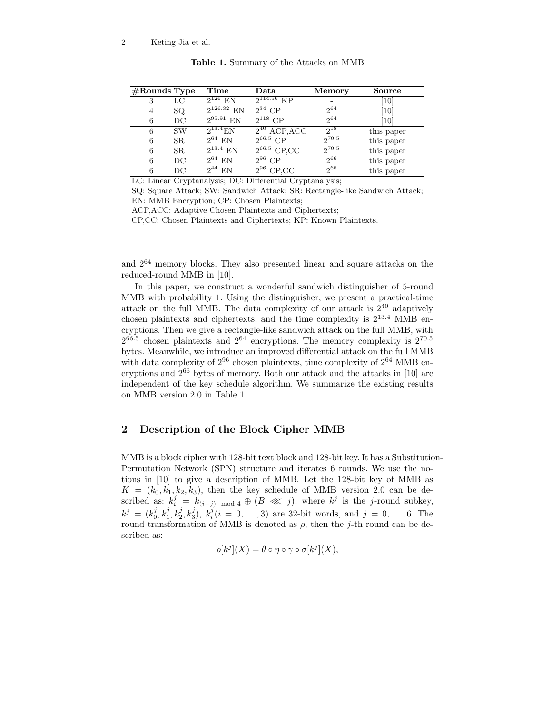| $#$ Rounds Type |              | Time              | Data                       | <b>Memory</b> | Source            |
|-----------------|--------------|-------------------|----------------------------|---------------|-------------------|
| 3               | LС           | $2^{126}$ EN      | $2^{114.56}$ KP            |               | [10]              |
| 4               | SQ.          | $2^{126.32}$ EN   | $2^{34}$ CP                | $2^{64}$      | $\left[10\right]$ |
| 6               | $_{\rm DC}$  | $2^{95.91}$ EN    | $2^{118}$ CP               | $2^{64}$      | $\left[10\right]$ |
| 6               | <b>SW</b>    | $2^{13.4}$ EN     | $2^{40}$ ACP, ACC          | $2^{18}$      | this paper        |
| 6               | SR.          | $2^{64}$ EN       | $2^{66.5}$ CP              | $2^{70.5}$    | this paper        |
| 6               | SR.          | $2^{13.4}$ EN     | $2^{66.5}$ CP,CC           | $2^{70.5}$    | this paper        |
| 6               | $_{\rm DC}$  | $2^{64}$ EN       | $2^{96}$ CP                | $2^{66}$      | this paper        |
| 6               | DС<br>$\sim$ | $2^{44}$ EN<br>__ | $2^{96}$ CP,CC<br>---<br>. | $2^{66}$      | this paper        |

Table 1. Summary of the Attacks on MMB

LC: Linear Cryptanalysis; DC: Differential Cryptanalysis;

SQ: Square Attack; SW: Sandwich Attack; SR: Rectangle-like Sandwich Attack; EN: MMB Encryption; CP: Chosen Plaintexts;

ACP,ACC: Adaptive Chosen Plaintexts and Ciphertexts;

CP,CC: Chosen Plaintexts and Ciphertexts; KP: Known Plaintexts.

and 2<sup>64</sup> memory blocks. They also presented linear and square attacks on the reduced-round MMB in [10].

In this paper, we construct a wonderful sandwich distinguisher of 5-round MMB with probability 1. Using the distinguisher, we present a practical-time attack on the full MMB. The data complexity of our attack is  $2^{40}$  adaptively chosen plaintexts and ciphertexts, and the time complexity is  $2^{13.4}$  MMB encryptions. Then we give a rectangle-like sandwich attack on the full MMB, with  $2^{66.5}$  chosen plaintexts and  $2^{64}$  encryptions. The memory complexity is  $2^{70.5}$ bytes. Meanwhile, we introduce an improved differential attack on the full MMB with data complexity of  $2^{96}$  chosen plaintexts, time complexity of  $2^{64}$  MMB encryptions and 2<sup>66</sup> bytes of memory. Both our attack and the attacks in [10] are independent of the key schedule algorithm. We summarize the existing results on MMB version 2.0 in Table 1.

# 2 Description of the Block Cipher MMB

MMB is a block cipher with 128-bit text block and 128-bit key. It has a Substitution-Permutation Network (SPN) structure and iterates 6 rounds. We use the notions in [10] to give a description of MMB. Let the 128-bit key of MMB as  $K = (k_0, k_1, k_2, k_3)$ , then the key schedule of MMB version 2.0 can be described as:  $k_i^j = k_{(i+j) \mod 4} \oplus (B \lll j)$ , where  $k^j$  is the j-round subkey,  $k^j = (k_0^j, k_1^j, k_2^j, k_3^j), k_i^j (i = 0, \ldots, 3)$  are 32-bit words, and  $j = 0, \ldots, 6$ . The round transformation of MMB is denoted as  $\rho$ , then the j-th round can be described as:

$$
\rho[k^j](X) = \theta \circ \eta \circ \gamma \circ \sigma[k^j](X),
$$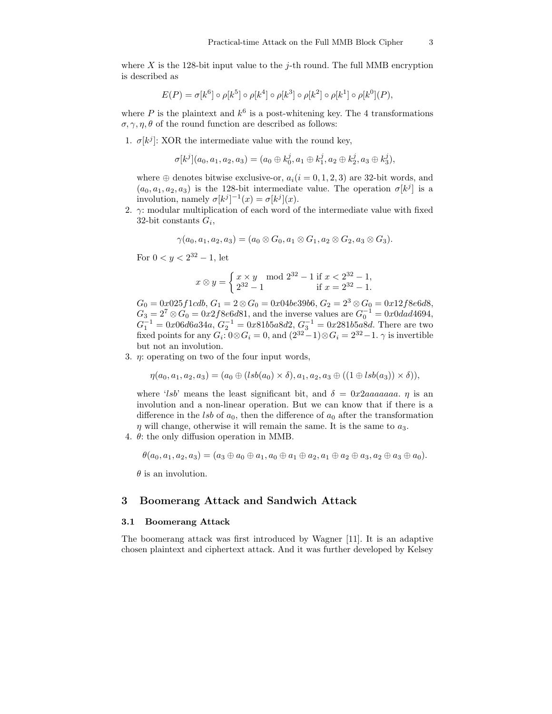where X is the 128-bit input value to the *j*-th round. The full MMB encryption is described as

$$
E(P) = \sigma[k^6] \circ \rho[k^5] \circ \rho[k^4] \circ \rho[k^3] \circ \rho[k^2] \circ \rho[k^1] \circ \rho[k^0](P),
$$

where P is the plaintext and  $k^6$  is a post-whitening key. The 4 transformations  $\sigma, \gamma, \eta, \theta$  of the round function are described as follows:

1.  $\sigma[k^j]$ : XOR the intermediate value with the round key,

$$
\sigma[k^j](a_0,a_1,a_2,a_3)=(a_0\oplus k_0^j, a_1\oplus k_1^j, a_2\oplus k_2^j, a_3\oplus k_3^j),
$$

where  $\oplus$  denotes bitwise exclusive-or,  $a_i(i = 0, 1, 2, 3)$  are 32-bit words, and  $(a_0, a_1, a_2, a_3)$  is the 128-bit intermediate value. The operation  $\sigma[k^j]$  is a involution, namely  $\sigma[k^j]^{-1}(x) = \sigma[k^j](x)$ .

2.  $\gamma$ : modular multiplication of each word of the intermediate value with fixed 32-bit constants  $G_i$ ,

$$
\gamma(a_0,a_1,a_2,a_3)=(a_0\otimes G_0,a_1\otimes G_1,a_2\otimes G_2,a_3\otimes G_3).
$$

For  $0 < y < 2^{32} - 1$ , let

$$
x \otimes y = \begin{cases} x \times y \mod 2^{32} - 1 \text{ if } x < 2^{32} - 1, \\ 2^{32} - 1 \quad \text{if } x = 2^{32} - 1. \end{cases}
$$

 $G_0 = 0x025f1cdb, G_1 = 2 \otimes G_0 = 0x04be39b6, G_2 = 2^3 \otimes G_0 = 0x12f8e6d8,$  $G_3 = 2^7 \otimes G_0 = 0 \cdot x \cdot 2 \cdot f \cdot 8 \cdot e \cdot 6 \cdot d \cdot 81$ , and the inverse values are  $G_0^{-1} = 0 \cdot x \cdot 0 \cdot 4 \cdot 4 \cdot 6 \cdot 94$ ,  $G_1^{-1} = 0x06d6a34a, G_2^{-1} = 0x81b5a8d2, G_3^{-1} = 0x281b5a8d.$  There are two fixed points for any  $G_i: 0 \otimes G_i = 0$ , and  $(2^{32}-1) \otimes G_i = 2^{32}-1$ .  $\gamma$  is invertible but not an involution.

3.  $\eta$ : operating on two of the four input words,

$$
\eta(a_0, a_1, a_2, a_3) = (a_0 \oplus (lsb(a_0) \times \delta), a_1, a_2, a_3 \oplus ((1 \oplus lsb(a_3)) \times \delta)),
$$

where 'lsb' means the least significant bit, and  $\delta = 0x2aaaaaaaa$ .  $\eta$  is an involution and a non-linear operation. But we can know that if there is a difference in the lsb of  $a_0$ , then the difference of  $a_0$  after the transformation  $\eta$  will change, otherwise it will remain the same. It is the same to  $a_3$ .

4. θ: the only diffusion operation in MMB.

$$
\theta(a_0, a_1, a_2, a_3) = (a_3 \oplus a_0 \oplus a_1, a_0 \oplus a_1 \oplus a_2, a_1 \oplus a_2 \oplus a_3, a_2 \oplus a_3 \oplus a_0).
$$

 $\theta$  is an involution.

# 3 Boomerang Attack and Sandwich Attack

#### 3.1 Boomerang Attack

The boomerang attack was first introduced by Wagner [11]. It is an adaptive chosen plaintext and ciphertext attack. And it was further developed by Kelsey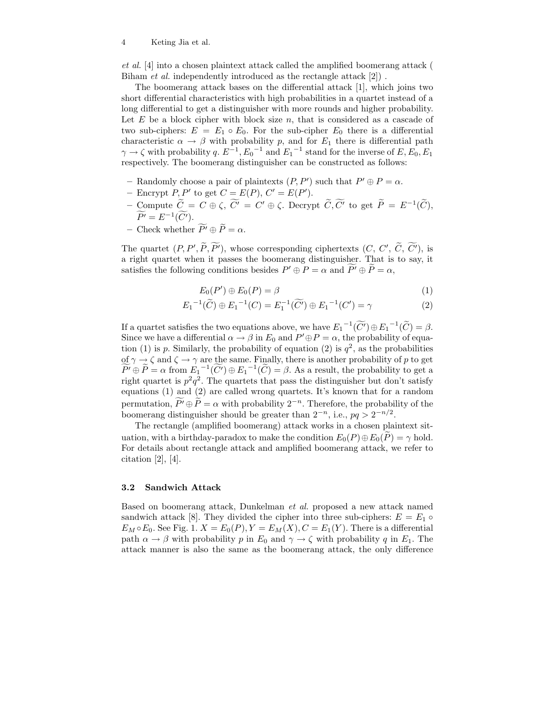#### 4 Keting Jia et al.

et al. [4] into a chosen plaintext attack called the amplified boomerang attack ( Biham et al. independently introduced as the rectangle attack [2]) .

The boomerang attack bases on the differential attack [1], which joins two short differential characteristics with high probabilities in a quartet instead of a long differential to get a distinguisher with more rounds and higher probability. Let  $E$  be a block cipher with block size  $n$ , that is considered as a cascade of two sub-ciphers:  $E = E_1 \circ E_0$ . For the sub-cipher  $E_0$  there is a differential characteristic  $\alpha \to \beta$  with probability p, and for  $E_1$  there is differential path  $\gamma \to \zeta$  with probability q.  $E^{-1}$ ,  $E_0^{-1}$  and  $E_1^{-1}$  stand for the inverse of  $E, E_0, E_1$ respectively. The boomerang distinguisher can be constructed as follows:

- Randomly choose a pair of plaintexts  $(P, P')$  such that  $P' \oplus P = \alpha$ .
- Encrypt  $P, P'$  to get  $C = E(P), C' = E(P').$
- Compute  $\tilde{C} = C \oplus \zeta$ ,  $\tilde{C'} = C' \oplus \zeta$ . Decrypt  $\tilde{C}, \tilde{C'}$  to get  $\tilde{P} = E^{-1}(\tilde{C})$ ,  $\widetilde{P'} = E^{-1}(\widetilde{C'}).$
- Check whether  $\widetilde{P'} \oplus \widetilde{P} = \alpha$ .

The quartet  $(P, P', P, P')$ , whose corresponding ciphertexts  $(C, C', C, C')$ , is a right quartet when it passes the boomerang distinguisher. That is to say, it satisfies the following conditions besides  $P' \oplus P = \alpha$  and  $P' \oplus P = \alpha$ ,

$$
E_0(P') \oplus E_0(P) = \beta \tag{1}
$$

$$
E_1^{-1}(\widetilde{C}) \oplus E_1^{-1}(C) = E_1^{-1}(\widetilde{C'}) \oplus E_1^{-1}(C') = \gamma \tag{2}
$$

If a quartet satisfies the two equations above, we have  $E_1^{-1}(\widetilde{C}) \oplus E_1^{-1}(\widetilde{C}) = \beta$ . Since we have a differential  $\alpha \to \beta$  in  $E_0$  and  $P' \oplus P = \alpha$ , the probability of equation (1) is p. Similarly, the probability of equation (2) is  $q^2$ , as the probabilities of  $\gamma \to \zeta$  and  $\zeta \to \gamma$  are the same. Finally, there is another probability of p to get  $\widetilde{P'} \oplus \widetilde{P} = \alpha$  from  $E_1^{-1}(\widetilde{C'}) \oplus E_1^{-1}(\widetilde{C}) = \beta$ . As a result, the probability to get a right quartet is  $p^2q^2$ . The quartets that pass the distinguisher but don't satisfy equations (1) and (2) are called wrong quartets. It's known that for a random permutation,  $P' \oplus \tilde{P} = \alpha$  with probability  $2^{-n}$ . Therefore, the probability of the boomerang distinguisher should be greater than  $2^{-n}$ , i.e.,  $pq > 2^{-n/2}$ .

The rectangle (amplified boomerang) attack works in a chosen plaintext situation, with a birthday-paradox to make the condition  $E_0(P) \oplus E_0(\tilde{P}) = \gamma$  hold. For details about rectangle attack and amplified boomerang attack, we refer to citation [2], [4].

#### 3.2 Sandwich Attack

Based on boomerang attack, Dunkelman et al. proposed a new attack named sandwich attack [8]. They divided the cipher into three sub-ciphers:  $E = E_1 \circ$  $E_M \circ E_0$ . See Fig. 1.  $X = E_0(P), Y = E_M(X), C = E_1(Y)$ . There is a differential path  $\alpha \to \beta$  with probability p in  $E_0$  and  $\gamma \to \zeta$  with probability q in  $E_1$ . The attack manner is also the same as the boomerang attack, the only difference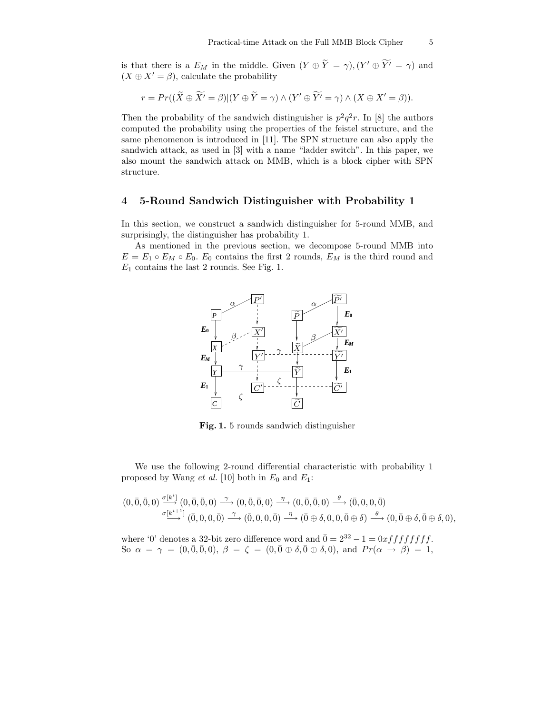is that there is a  $E_M$  in the middle. Given  $(Y \oplus Y = \gamma)$ ,  $(Y' \oplus Y' = \gamma)$  and  $(X \oplus X' = \beta)$ , calculate the probability

$$
r = Pr((\widetilde{X} \oplus \widetilde{X'} = \beta)|(Y \oplus \widetilde{Y} = \gamma) \wedge (Y' \oplus \widetilde{Y'} = \gamma) \wedge (X \oplus X' = \beta)).
$$

Then the probability of the sandwich distinguisher is  $p^2q^2r$ . In [8] the authors computed the probability using the properties of the feistel structure, and the same phenomenon is introduced in [11]. The SPN structure can also apply the sandwich attack, as used in [3] with a name "ladder switch". In this paper, we also mount the sandwich attack on MMB, which is a block cipher with SPN structure.

## 4 5-Round Sandwich Distinguisher with Probability 1

In this section, we construct a sandwich distinguisher for 5-round MMB, and surprisingly, the distinguisher has probability 1.

As mentioned in the previous section, we decompose 5-round MMB into  $E = E_1 \circ E_M \circ E_0$ .  $E_0$  contains the first 2 rounds,  $E_M$  is the third round and  $E_1$  contains the last 2 rounds. See Fig. 1.



Fig. 1. 5 rounds sandwich distinguisher

We use the following 2-round differential characteristic with probability 1 proposed by Wang *et al.* [10] both in  $E_0$  and  $E_1$ :

$$
(0,\overline{0},\overline{0},0) \xrightarrow{\sigma[k^i]} (0,\overline{0},\overline{0},0) \xrightarrow{\gamma} (0,\overline{0},\overline{0},0) \xrightarrow{\eta} (0,\overline{0},\overline{0},0) \xrightarrow{\theta} (\overline{0},0,0,\overline{0})
$$
  

$$
\xrightarrow{\sigma[k^{i+1}]} (\overline{0},0,0,\overline{0}) \xrightarrow{\gamma} (\overline{0},0,0,\overline{0}) \xrightarrow{\eta} (\overline{0} \oplus \delta,0,0,\overline{0} \oplus \delta) \xrightarrow{\theta} (0,\overline{0} \oplus \delta, \overline{0} \oplus \delta,0),
$$

where '0' denotes a 32-bit zero difference word and  $\bar{0} = 2^{32} - 1 = 0xfffffffff$ . So  $\alpha = \gamma = (0, \bar{0}, \bar{0}, 0), \ \beta = \zeta = (0, \bar{0} \oplus \delta, \bar{0} \oplus \delta, 0), \text{ and } Pr(\alpha \to \beta) = 1,$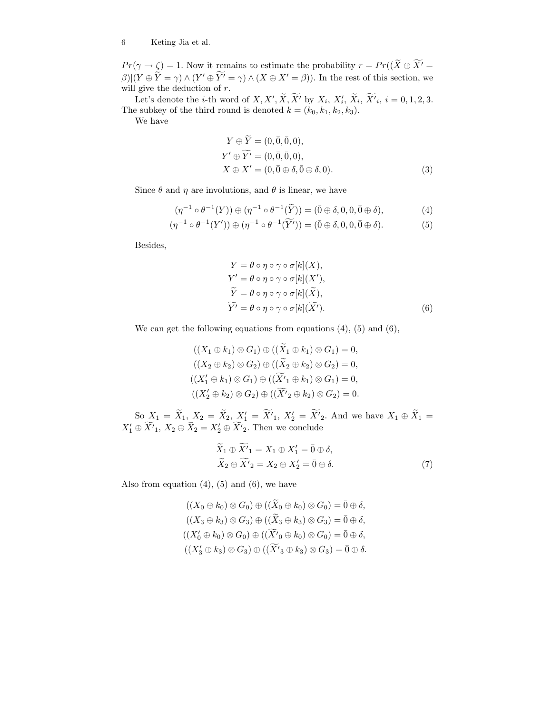#### 6 Keting Jia et al.

 $Pr(\gamma \to \zeta) = 1$ . Now it remains to estimate the probability  $r = Pr((X \oplus X' =$  $\beta$ |(Y  $\oplus$  Y =  $\gamma$ )  $\wedge$  (Y'  $\oplus$  Y' =  $\gamma$ )  $\wedge$  (X  $\oplus$  X' =  $\beta$ )). In the rest of this section, we will give the deduction of  $r$ .

Let's denote the *i*-th word of X, X', X, X' by  $X_i$ ,  $X'_i$ ,  $X'_i$ ,  $X'_i$ ,  $X'_i$ ,  $i = 0, 1, 2, 3$ . The subkey of the third round is denoted  $k = (k_0, k_1, k_2, k_3)$ .

We have

$$
Y \oplus \widetilde{Y} = (0, \overline{0}, \overline{0}, 0),
$$
  
\n
$$
Y' \oplus \widetilde{Y'} = (0, \overline{0}, \overline{0}, 0),
$$
  
\n
$$
X \oplus X' = (0, \overline{0} \oplus \delta, \overline{0} \oplus \delta, 0).
$$
\n(3)

Since  $\theta$  and  $\eta$  are involutions, and  $\theta$  is linear, we have

$$
(\eta^{-1} \circ \theta^{-1}(Y)) \oplus (\eta^{-1} \circ \theta^{-1}(\widetilde{Y})) = (\overline{0} \oplus \delta, 0, 0, \overline{0} \oplus \delta), \tag{4}
$$

$$
(\eta^{-1} \circ \theta^{-1}(Y')) \oplus (\eta^{-1} \circ \theta^{-1}(\widetilde{Y'})) = (\overline{0} \oplus \delta, 0, 0, \overline{0} \oplus \delta).
$$
 (5)

Besides,

$$
Y = \theta \circ \eta \circ \gamma \circ \sigma[k](X),
$$
  
\n
$$
Y' = \theta \circ \eta \circ \gamma \circ \sigma[k](X'),
$$
  
\n
$$
\widetilde{Y} = \theta \circ \eta \circ \gamma \circ \sigma[k](\widetilde{X}),
$$
  
\n
$$
\widetilde{Y'} = \theta \circ \eta \circ \gamma \circ \sigma[k](\widetilde{X'}).
$$
\n(6)

We can get the following equations from equations (4), (5) and (6),

$$
((X_1 \oplus k_1) \otimes G_1) \oplus ((\widetilde{X}_1 \oplus k_1) \otimes G_1) = 0,
$$
  

$$
((X_2 \oplus k_2) \otimes G_2) \oplus ((\widetilde{X}_2 \oplus k_2) \otimes G_2) = 0,
$$
  

$$
((X'_1 \oplus k_1) \otimes G_1) \oplus ((\widetilde{X'}_1 \oplus k_1) \otimes G_1) = 0,
$$
  

$$
((X'_2 \oplus k_2) \otimes G_2) \oplus ((\widetilde{X'}_2 \oplus k_2) \otimes G_2) = 0.
$$

So  $X_1 = X_1, X_2 = X_2, X'_1 = X'_1, X'_2 = X'_2$ . And we have  $X_1 \oplus X_1 =$  $X'_1 \oplus X'_1$ ,  $X_2 \oplus X_2 = X'_2 \oplus X'_2$ . Then we conclude

$$
\widetilde{X}_1 \oplus \widetilde{X}'_1 = X_1 \oplus X'_1 = \overline{0} \oplus \delta,
$$
  
\n
$$
\widetilde{X}_2 \oplus \widetilde{X}'_2 = X_2 \oplus X'_2 = \overline{0} \oplus \delta.
$$
\n(7)

Also from equation  $(4)$ ,  $(5)$  and  $(6)$ , we have

$$
((X_0 \oplus k_0) \otimes G_0) \oplus ((\widetilde{X}_0 \oplus k_0) \otimes G_0) = \overline{0} \oplus \delta,
$$
  

$$
((X_3 \oplus k_3) \otimes G_3) \oplus ((\widetilde{X}_3 \oplus k_3) \otimes G_3) = \overline{0} \oplus \delta,
$$
  

$$
((X'_0 \oplus k_0) \otimes G_0) \oplus ((\widetilde{X'}_0 \oplus k_0) \otimes G_0) = \overline{0} \oplus \delta,
$$
  

$$
((X'_3 \oplus k_3) \otimes G_3) \oplus ((\widetilde{X'}_3 \oplus k_3) \otimes G_3) = \overline{0} \oplus \delta.
$$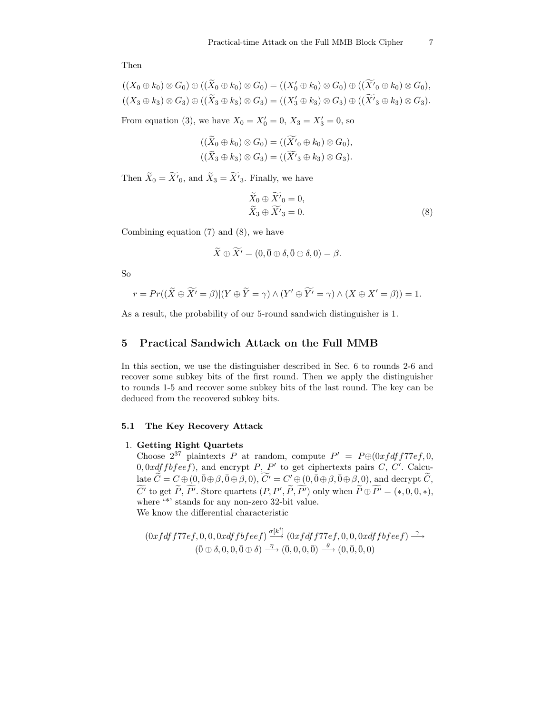Then

$$
((X_0 \oplus k_0) \otimes G_0) \oplus ((X_0 \oplus k_0) \otimes G_0) = ((X'_0 \oplus k_0) \otimes G_0) \oplus ((X'_0 \oplus k_0) \otimes G_0),
$$
  

$$
((X_3 \oplus k_3) \otimes G_3) \oplus ((\widetilde{X}_3 \oplus k_3) \otimes G_3) = ((X'_3 \oplus k_3) \otimes G_3) \oplus ((\widetilde{X'}_3 \oplus k_3) \otimes G_3).
$$

From equation (3), we have  $X_0 = X'_0 = 0, X_3 = X'_3 = 0$ , so

$$
((\widetilde{X}_0 \oplus k_0) \otimes G_0) = ((\widetilde{X'}_0 \oplus k_0) \otimes G_0),
$$
  

$$
((\widetilde{X}_3 \oplus k_3) \otimes G_3) = ((\widetilde{X'}_3 \oplus k_3) \otimes G_3).
$$

Then  $X_0 = X'_0$ , and  $X_3 = X'_3$ . Finally, we have

$$
\widetilde{X}_0 \oplus \widetilde{X'}_0 = 0, \n\widetilde{X}_3 \oplus \widetilde{X'}_3 = 0.
$$
\n(8)

Combining equation (7) and (8), we have

$$
\widetilde{X} \oplus \widetilde{X'} = (0, \bar{0} \oplus \delta, \bar{0} \oplus \delta, 0) = \beta.
$$

So

$$
r = Pr((\widetilde{X} \oplus \widetilde{X'} = \beta)|(Y \oplus \widetilde{Y} = \gamma) \wedge (Y' \oplus \widetilde{Y'} = \gamma) \wedge (X \oplus X' = \beta)) = 1.
$$

As a result, the probability of our 5-round sandwich distinguisher is 1.

# 5 Practical Sandwich Attack on the Full MMB

In this section, we use the distinguisher described in Sec. 6 to rounds 2-6 and recover some subkey bits of the first round. Then we apply the distinguisher to rounds 1-5 and recover some subkey bits of the last round. The key can be deduced from the recovered subkey bits.

#### 5.1 The Key Recovery Attack

## 1. Getting Right Quartets

Choose  $2^{37}$  plaintexts P at random, compute  $P' = P \oplus (0xfdff77ef, 0, 0)$  $0, 0xdffbfeef)$ , and encrypt P, P' to get ciphertexts pairs C, C'. Calcu- $\det \widetilde{C}=C\oplus(0,\bar{0} \oplus \beta, \bar{0} \oplus \beta, 0), \, \widetilde{C'}=C'\oplus(0,\bar{0} \oplus \beta, \bar{0} \oplus \beta, 0), \, \text{and } \text{decrypt\ }\widetilde{C},$ C' to get P, P'. Store quartets  $(P, P', P, P')$  only when  $P \oplus P' = (*, 0, 0, *)$ , where  $\cdot^*$  stands for any non-zero 32-bit value. We know the differential characteristic

$$
(0xfdff77ef, 0, 0, 0xdffbfeef) \xrightarrow{\sigma[k^i]} (0xfdff77ef, 0, 0, 0xdffbfeef) \xrightarrow{\gamma} (\overline{0} \oplus \delta, 0, 0, \overline{0} \oplus \delta) \xrightarrow{\eta} (\overline{0}, 0, 0, \overline{0}) \xrightarrow{\theta} (0, \overline{0}, \overline{0}, 0)
$$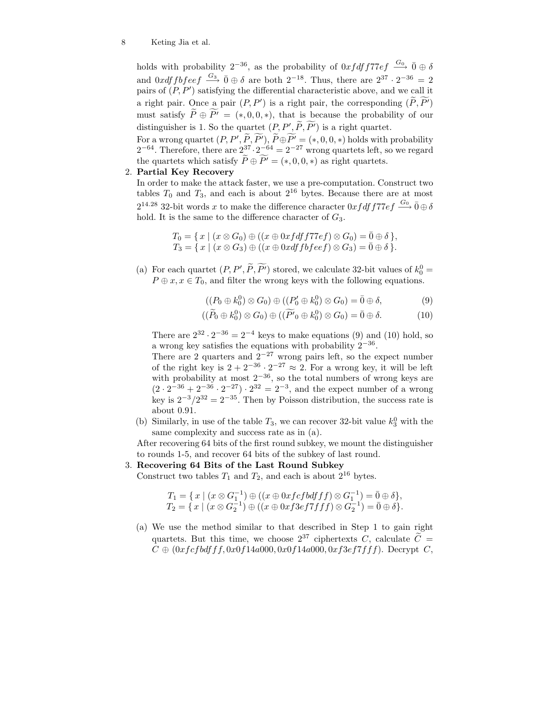#### 8 Keting Jia et al.

holds with probability  $2^{-36}$ , as the probability of  $0x f df f 77ef \stackrel{G_0}{\longrightarrow} \overline{0} \oplus \delta$ and  $0xdffbfeef \stackrel{G_3}{\longrightarrow} \bar{0} \oplus \delta$  are both  $2^{-18}$ . Thus, there are  $2^{37} \cdot 2^{-36} = 2$ pairs of  $(P, P')$  satisfying the differential characteristic above, and we call it a right pair. Once a pair  $(P, P')$  is a right pair, the corresponding  $(P, P')$ must satisfy  $\widetilde{P} \oplus \widetilde{P'} = (*, 0, 0, *)$ , that is because the probability of our distinguisher is 1. So the quartet  $(P, P', P, P')$  is a right quartet.

For a wrong quartet  $(P, P', P, P'), P \oplus P' = (*, 0, 0, *)$  holds with probability  $2^{-64}$ . Therefore, there are  $2^{37} \cdot 2^{-64} = 2^{-27}$  wrong quartets left, so we regard the quartets which satisfy  $\widetilde{P} \oplus \widetilde{P'} = (*, 0, 0, *)$  as right quartets.

## 2. Partial Key Recovery

In order to make the attack faster, we use a pre-computation. Construct two tables  $T_0$  and  $T_3$ , and each is about  $2^{16}$  bytes. Because there are at most  $2^{14.28}$  32-bit words x to make the difference character  $0xfdff77ef \stackrel{G_0}{\longrightarrow} \bar{0} \oplus \delta$ hold. It is the same to the difference character of  $G_3$ .

$$
T_0 = \{ x \mid (x \otimes G_0) \oplus ((x \oplus 0xfdff77ef) \otimes G_0) = \overline{0} \oplus \delta \},
$$
  
\n
$$
T_3 = \{ x \mid (x \otimes G_3) \oplus ((x \oplus 0xdffbfeef) \otimes G_3) = \overline{0} \oplus \delta \}.
$$

(a) For each quartet  $(P, P', P, P')$  stored, we calculate 32-bit values of  $k_0^0 =$  $P \oplus x, x \in T_0$ , and filter the wrong keys with the following equations.

$$
((P_0 \oplus k_0^0) \otimes G_0) \oplus ((P'_0 \oplus k_0^0) \otimes G_0) = \overline{0} \oplus \delta, \tag{9}
$$

$$
((\widetilde{P}_0 \oplus k_0^0) \otimes G_0) \oplus ((\widetilde{P'}_0 \oplus k_0^0) \otimes G_0) = \overline{0} \oplus \delta. \tag{10}
$$

There are  $2^{32} \cdot 2^{-36} = 2^{-4}$  keys to make equations (9) and (10) hold, so a wrong key satisfies the equations with probability  $2^{-36}$ .

There are 2 quarters and  $2^{-27}$  wrong pairs left, so the expect number of the right key is  $2 + 2^{-36} \cdot 2^{-27} \approx 2$ . For a wrong key, it will be left with probability at most  $2^{-36}$ , so the total numbers of wrong keys are  $(2 \cdot 2^{-36} + 2^{-36} \cdot 2^{-27}) \cdot 2^{32} = 2^{-3}$ , and the expect number of a wrong key is  $2^{-3}/2^{32} = 2^{-35}$ . Then by Poisson distribution, the success rate is about 0.91.

(b) Similarly, in use of the table  $T_3$ , we can recover 32-bit value  $k_3^0$  with the same complexity and success rate as in (a).

After recovering 64 bits of the first round subkey, we mount the distinguisher to rounds 1-5, and recover 64 bits of the subkey of last round.

## 3. Recovering 64 Bits of the Last Round Subkey

Construct two tables  $T_1$  and  $T_2$ , and each is about  $2^{16}$  bytes.

$$
T_1 = \{ x \mid (x \otimes G_1^{-1}) \oplus ((x \oplus 0xfcfbdff) \otimes G_1^{-1}) = \overline{0} \oplus \delta \},
$$
  
\n
$$
T_2 = \{ x \mid (x \otimes G_2^{-1}) \oplus ((x \oplus 0xf3ef7fff) \otimes G_2^{-1}) = \overline{0} \oplus \delta \}.
$$

(a) We use the method similar to that described in Step 1 to gain right quartets. But this time, we choose  $2^{37}$  ciphertexts C, calculate  $\tilde{C}$  =  $C \oplus (0xfcfbdfff, 0x0f14a000, 0x0f14a000, 0xf3ef7fff).$  Decrypt C,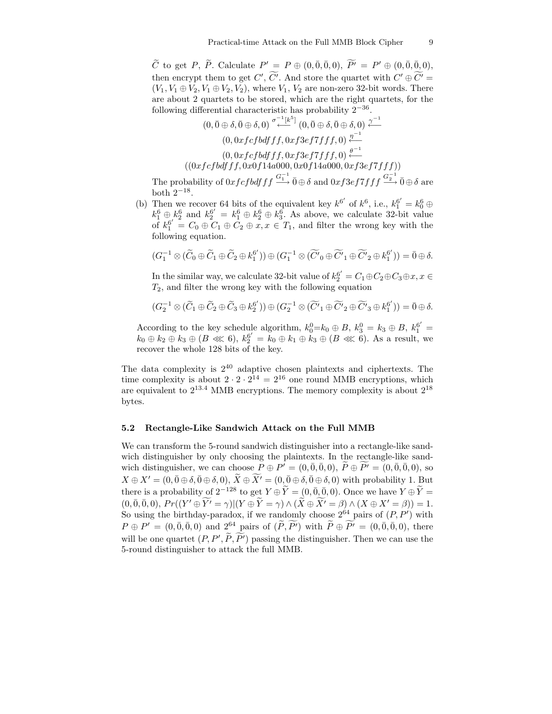$\widetilde{C}$  to get P,  $\widetilde{P}$ . Calculate  $P' = P \oplus (0, \overline{0}, \overline{0}, 0), \ \widetilde{P'} = P' \oplus (0, \overline{0}, \overline{0}, 0),$ then encrypt them to get  $C'$ ,  $C'$ . And store the quartet with  $C' \oplus C' =$  $(V_1, V_1 \oplus V_2, V_1 \oplus V_2, V_2)$ , where  $V_1, V_2$  are non-zero 32-bit words. There are about 2 quartets to be stored, which are the right quartets, for the following differential characteristic has probability  $2^{-36}$ .

$$
(0,\bar{0}\oplus\delta,\bar{0}\oplus\delta,0) \stackrel{\sigma^{-1}[k^5]}{\longleftarrow} (0,\bar{0}\oplus\delta,\bar{0}\oplus\delta,0) \stackrel{\gamma^{-1}}{\longleftarrow} (0,0xfcfbdff,0xf3ef7fff,0) \stackrel{\eta^{-1}}{\longleftarrow} (0,0xfcfbdfff,0xf3ef7fff,0) \stackrel{\theta^{-1}}{\longleftarrow} ((0xfcfbdfff,0x0f14a000,0xf14a000,0xf3ef7fff))
$$

The probability of  $0xfcfbdfff \stackrel{G_1^{-1}}{\longrightarrow} \bar{0} \oplus \delta$  and  $0xf3ef7fff \stackrel{G_2^{-1}}{\longrightarrow} \bar{0} \oplus \delta$  are both  $2^{-18}$ . .

(b) Then we recover 64 bits of the equivalent key  $k^{6'}$  of  $k^6$ , i.e.,  $k_1^{6'} = k_0^6 \oplus$  $k_1^6 \oplus k_2^6$  and  $k_2^{6'} = k_1^6 \oplus k_2^6 \oplus k_3^6$ . As above, we calculate 32-bit value of  $k_1^{6'} = C_0 \oplus C_1 \oplus C_2 \oplus x, x \in T_1$ , and filter the wrong key with the following equation.

$$
(G_1^{-1}\otimes(\widetilde{C}_0\oplus\widetilde{C}_1\oplus\widetilde{C}_2\oplus k_1^{6'}))\oplus(G_1^{-1}\otimes(\widetilde{C'}_0\oplus\widetilde{C'}_1\oplus\widetilde{C'}_2\oplus k_1^{6'}))=\overline{0}\oplus\delta.
$$

In the similar way, we calculate 32-bit value of  $k_2^{6'} = C_1 \oplus C_2 \oplus C_3 \oplus x, x \in$  $T_2$ , and filter the wrong key with the following equation

$$
(G_2^{-1}\otimes (\widetilde{C}_1\oplus \widetilde{C}_2\oplus \widetilde{C}_3\oplus k_2^{6'}))\oplus (G_2^{-1}\otimes (\widetilde{C'}_1\oplus \widetilde{C'}_2\oplus \widetilde{C'}_3\oplus k_1^{6'}))=\bar{0}\oplus \delta.
$$

According to the key schedule algorithm,  $k_0^0 = k_0 \oplus B$ ,  $k_3^0 = k_3 \oplus B$ ,  $k_1^{6'} =$  $k_0 \oplus k_2 \oplus k_3 \oplus (B \lll 6), k_2^{6'} = k_0 \oplus k_1 \oplus k_3 \oplus (B \lll 6).$  As a result, we recover the whole 128 bits of the key.

The data complexity is  $2^{40}$  adaptive chosen plaintexts and ciphertexts. The time complexity is about  $2 \cdot 2 \cdot 2^{14} = 2^{16}$  one round MMB encryptions, which are equivalent to  $2^{13.4}$  MMB encryptions. The memory complexity is about  $2^{18}$ bytes.

#### 5.2 Rectangle-Like Sandwich Attack on the Full MMB

We can transform the 5-round sandwich distinguisher into a rectangle-like sandwich distinguisher by only choosing the plaintexts. In the rectangle-like sandwich distinguisher, we can choose  $P \oplus P' = (0, \overline{0}, \overline{0}, 0), \ \widetilde{P} \oplus \widetilde{P'} = (0, \overline{0}, \overline{0}, 0),$  so  $X \oplus X' = (0, \bar{0} \oplus \delta, \bar{0} \oplus \delta, 0), \, \widetilde{X} \oplus \widetilde{X'} = (0, \bar{0} \oplus \delta, \bar{0} \oplus \delta, 0)$  with probability 1. But there is a probability of  $2^{-128}$  to get  $Y \oplus \widetilde{Y} = (0, \overline{0}, \overline{0}, 0)$ . Once we have  $Y \oplus \widetilde{Y} =$  $(0, \overline{0}, \overline{0}, 0), Pr((Y' \oplus \widetilde{Y'} = \gamma)|(Y \oplus \widetilde{Y} = \gamma) \wedge (\widetilde{X} \oplus \widetilde{X'} = \beta) \wedge (X \oplus X' = \beta)) = 1.$ So using the birthday-paradox, if we randomly choose  $2^{64}$  pairs of  $(P, P')$  with  $P \oplus P' = (0, \bar{0}, \bar{0}, 0)$  and  $2^{64}$  pairs of  $(\tilde{P}, \tilde{P'})$  with  $\tilde{P} \oplus \tilde{P'} = (0, \bar{0}, \bar{0}, 0)$ , there will be one quartet  $(P, P', P, P')$  passing the distinguisher. Then we can use the 5-round distinguisher to attack the full MMB.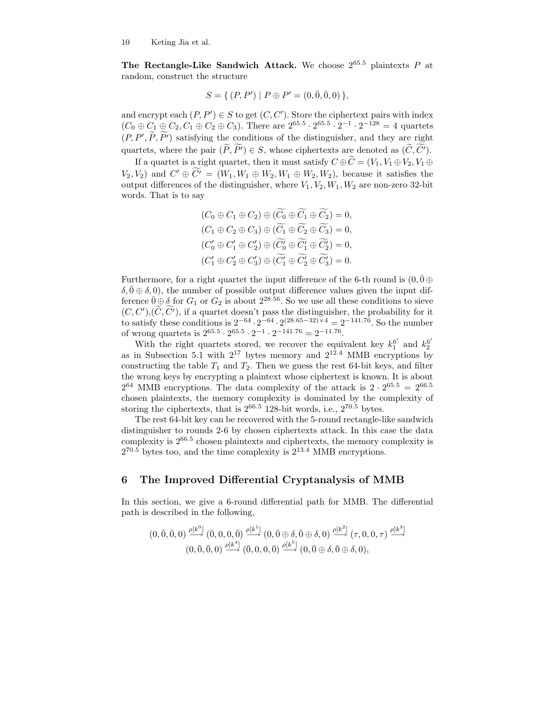The Rectangle-Like Sandwich Attack. We choose  $2^{65.5}$  plaintexts P at random, construct the structure

$$
S = \{ (P, P') \mid P \oplus P' = (0, \bar{0}, 0, 0) \},
$$

and encrypt each  $(P, P') \in S$  to get  $(C, C')$ . Store the ciphertext pairs with index  $(C_0 \oplus C_1 \oplus C_2, C_1 \oplus C_2 \oplus C_3)$ . There are  $2^{65.5} \cdot 2^{65.5} \cdot 2^{-1} \cdot 2^{-128} = 4$  quartets  $(P, P', P, P')$  satisfying the conditions of the distinguisher, and they are right quartets, where the pair  $(\widetilde{P}, \widetilde{P'}) \in S$ , whose ciphertexts are denoted as  $(\widetilde{C}, \widetilde{C'})$ .

If a quartet is a right quartet, then it must satisfy  $C \oplus \widetilde{C} = (V_1, V_1 \oplus V_2, V_1 \oplus V_2)$  $(V_2, V_2)$  and  $C' \oplus C' = (W_1, W_1 \oplus W_2, W_1 \oplus W_2, W_2)$ , because it satisfies the output differences of the distinguisher, where  $V_1, V_2, W_1, W_2$  are non-zero 32-bit words. That is to say

$$
(C_0 \oplus C_1 \oplus C_2) \oplus (\widetilde{C_0} \oplus \widetilde{C_1} \oplus \widetilde{C_2}) = 0,
$$
  
\n
$$
(C_1 \oplus C_2 \oplus C_3) \oplus (\widetilde{C_1} \oplus \widetilde{C_2} \oplus \widetilde{C_3}) = 0,
$$
  
\n
$$
(C'_0 \oplus C'_1 \oplus C'_2) \oplus (\widetilde{C'_0} \oplus \widetilde{C'_1} \oplus \widetilde{C'_2}) = 0,
$$
  
\n
$$
(C'_1 \oplus C'_2 \oplus C'_3) \oplus (\widetilde{C'_1} \oplus \widetilde{C'_2} \oplus \widetilde{C'_3}) = 0.
$$

Furthermore, for a right quartet the input difference of the 6-th round is  $(0, 0 \oplus$  $\delta, \bar{0} \oplus \delta, 0$ , the number of possible output difference values given the input difference  $\bar{0} \oplus \delta$  for  $G_1$  or  $G_2$  is about  $2^{28.56}$ . So we use all these conditions to sieve  $(C, C'), (C, C')$ , if a quartet doesn't pass the distinguisher, the probability for it to satisfy these conditions is  $2^{-64} \cdot 2^{-64} \cdot 2^{(28.65-32)\times 4} = 2^{-141.76}$ . So the number of wrong quartets is  $2^{65.5} \cdot 2^{65.5} \cdot 2^{-1} \cdot 2^{-141.76} = 2^{-11.76}$ .

With the right quartets stored, we recover the equivalent key  $k_1^{6'}$  and  $k_2^{6'}$ with the right quartets stored, we recover the equivalent key  $\kappa_1$  and  $\kappa_2$  as in Subsection 5.1 with  $2^{17}$  bytes memory and  $2^{12.4}$  MMB encryptions by constructing the table  $T_1$  and  $T_2$ . Then we guess the rest 64-bit keys, and filter the wrong keys by encrypting a plaintext whose ciphertext is known. It is about  $2^{64}$  MMB encryptions. The data complexity of the attack is  $2 \cdot 2^{65.5} = 2^{66.5}$ chosen plaintexts, the memory complexity is dominated by the complexity of storing the ciphertexts, that is  $2^{66.5}$  128-bit words, i.e.,  $2^{70.5}$  bytes.

The rest 64-bit key can be recovered with the 5-round rectangle-like sandwich distinguisher to rounds 2-6 by chosen ciphertexts attack. In this case the data complexity is  $2^{66.5}$  chosen plaintexts and ciphertexts, the memory complexity is  $2^{70.5}$  bytes too, and the time complexity is  $2^{13.4}$  MMB encryptions.

## 6 The Improved Differential Cryptanalysis of MMB

In this section, we give a 6-round differential path for MMB. The differential path is described in the following,

$$
\begin{array}{c}\n(0, \bar{0}, \bar{0}, 0) \xrightarrow{\rho[k^0]} (\bar{0}, 0, 0, \bar{0}) \xrightarrow{\rho[k^1]} (0, \bar{0} \oplus \delta, \bar{0} \oplus \delta, 0) \xrightarrow{\rho[k^2]} (\tau, 0, 0, \tau) \xrightarrow{\rho[k^3]} \\
(0, \bar{0}, \bar{0}, 0) \xrightarrow{\rho[k^4]} (\bar{0}, 0, 0, \bar{0}) \xrightarrow{\rho[k^5]} (0, \bar{0} \oplus \delta, \bar{0} \oplus \delta, 0),\n\end{array}
$$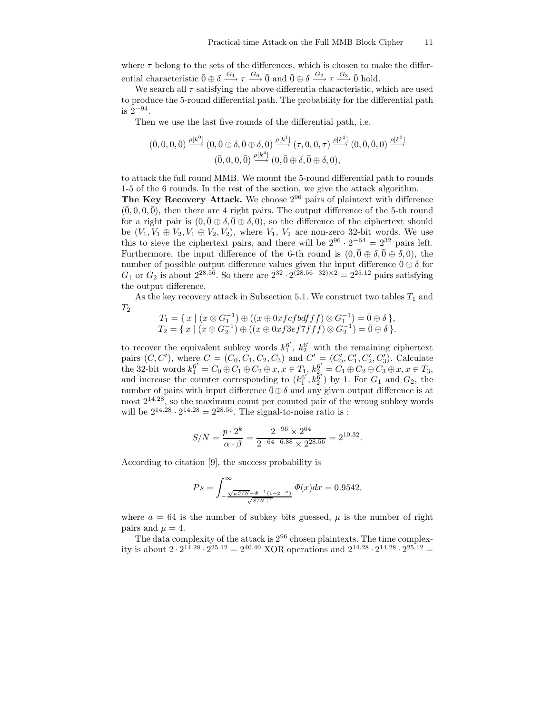where  $\tau$  belong to the sets of the differences, which is chosen to make the differential characteristic  $\bar{0} \oplus \delta \stackrel{G_1}{\longrightarrow} \tau \stackrel{G_0}{\longrightarrow} \bar{0}$  and  $\bar{0} \oplus \delta \stackrel{G_2}{\longrightarrow} \tau \stackrel{G_3}{\longrightarrow} \bar{0}$  hold.

We search all  $\tau$  satisfying the above differentia characteristic, which are used to produce the 5-round differential path. The probability for the differential path is 2−<sup>94</sup> .

Then we use the last five rounds of the differential path, i.e.

$$
(\overline{0},0,0,\overline{0}) \xrightarrow{\rho[k^0]} (0,\overline{0} \oplus \delta, \overline{0} \oplus \delta,0) \xrightarrow{\rho[k^1]} (\tau,0,0,\tau) \xrightarrow{\rho[k^2]} (0,\overline{0},\overline{0},0) \xrightarrow{\rho[k^3]} (\overline{0},0,0,\overline{0}) \xrightarrow{\rho[k^4]} (0,\overline{0} \oplus \delta, \overline{0} \oplus \delta,0),
$$

to attack the full round MMB. We mount the 5-round differential path to rounds 1-5 of the 6 rounds. In the rest of the section, we give the attack algorithm.

The Key Recovery Attack. We choose  $2^{96}$  pairs of plaintext with difference  $(0, 0, 0, 0)$ , then there are 4 right pairs. The output difference of the 5-th round for a right pair is  $(0, \bar{0} \oplus \delta, \bar{0} \oplus \delta, 0)$ , so the difference of the ciphertext should be  $(V_1, V_1 \oplus V_2, V_1 \oplus V_2, V_2)$ , where  $V_1, V_2$  are non-zero 32-bit words. We use this to sieve the ciphertext pairs, and there will be  $2^{96} \cdot 2^{-64} = 2^{32}$  pairs left. Furthermore, the input difference of the 6-th round is  $(0, \bar{0} \oplus \delta, \bar{0} \oplus \delta, 0)$ , the number of possible output difference values given the input difference  $\bar{0} \oplus \delta$  for  $G_1$  or  $G_2$  is about  $2^{28.56}$ . So there are  $2^{32} \cdot 2^{(28.56-32)\times 2} = 2^{25.12}$  pairs satisfying the output difference.

As the key recovery attack in Subsection 5.1. We construct two tables  $T_1$  and  $T_2$ 

$$
T_1 = \{ x \mid (x \otimes G_1^{-1}) \oplus ((x \oplus 0xfcfbdff) \otimes G_1^{-1}) = \overline{0} \oplus \delta \},
$$
  
\n
$$
T_2 = \{ x \mid (x \otimes G_2^{-1}) \oplus ((x \oplus 0xf3ef7fff) \otimes G_2^{-1}) = \overline{0} \oplus \delta \}.
$$

to recover the equivalent subkey words  $k_1^6$  $^{6'}_1$ ,  $k_2^{6'}$  with the remaining ciphertext pairs  $(C, C')$ , where  $C = (C_0, C_1, C_2, C_3)$  and  $C' = (C'_0, C'_1, C'_2, C'_3)$ . Calculate the 32-bit words  $k_1^{6'} = C_0 \oplus C_1 \oplus C_2 \oplus x, x \in T_1$ ,  $k_2^{6'} = C_1 \oplus C_2 \oplus C_3 \oplus x, x \in T_3$ , and increase the counter corresponding to  $(k_1^{6'}, k_2^{6'})$  by 1. For  $G_1$  and  $G_2$ , the number of pairs with input difference  $\bar{0} \oplus \delta$  and any given output difference is at most  $2^{14.28}$ , so the maximum count per counted pair of the wrong subkey words will be  $2^{14.28} \cdot 2^{14.28} = 2^{28.56}$ . The signal-to-noise ratio is :

$$
S/N = \frac{p \cdot 2^k}{\alpha \cdot \beta} = \frac{2^{-96} \times 2^{64}}{2^{-64 - 6.88} \times 2^{28.56}} = 2^{10.32}.
$$

According to citation [9], the success probability is

$$
Ps = \int_{-\frac{\sqrt{\mu S/N} - \Phi^{-1}(1 - 2 - a)}{\sqrt{S/N} + 1}}^{\infty} \Phi(x) dx = 0.9542,
$$

where  $a = 64$  is the number of subkey bits guessed,  $\mu$  is the number of right pairs and  $\mu = 4$ .

The data complexity of the attack is 2<sup>96</sup> chosen plaintexts. The time complexity is about  $2 \cdot 2^{14.28} \cdot 2^{25.12} = 2^{40.40}$  XOR operations and  $2^{14.28} \cdot 2^{14.28} \cdot 2^{25.12} =$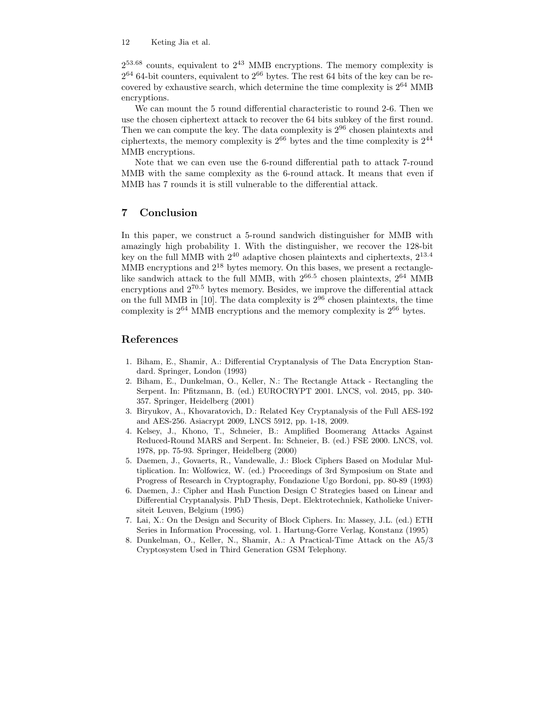$2^{53.68}$  counts, equivalent to  $2^{43}$  MMB encryptions. The memory complexity is  $2^{64}$  64-bit counters, equivalent to  $2^{66}$  bytes. The rest 64 bits of the key can be recovered by exhaustive search, which determine the time complexity is  $2^{64}$  MMB encryptions.

We can mount the 5 round differential characteristic to round 2-6. Then we use the chosen ciphertext attack to recover the 64 bits subkey of the first round. Then we can compute the key. The data complexity is  $2^{96}$  chosen plaintexts and ciphertexts, the memory complexity is  $2^{66}$  bytes and the time complexity is  $2^{44}$ MMB encryptions.

Note that we can even use the 6-round differential path to attack 7-round MMB with the same complexity as the 6-round attack. It means that even if MMB has 7 rounds it is still vulnerable to the differential attack.

# 7 Conclusion

In this paper, we construct a 5-round sandwich distinguisher for MMB with amazingly high probability 1. With the distinguisher, we recover the 128-bit key on the full MMB with  $2^{40}$  adaptive chosen plaintexts and ciphertexts,  $2^{13.4}$ MMB encryptions and  $2^{18}$  bytes memory. On this bases, we present a rectanglelike sandwich attack to the full MMB, with  $2^{66.5}$  chosen plaintexts,  $2^{64}$  MMB encryptions and  $2^{70.5}$  bytes memory. Besides, we improve the differential attack on the full MMB in [10]. The data complexity is  $2^{96}$  chosen plaintexts, the time complexity is  $2^{64}$  MMB encryptions and the memory complexity is  $2^{66}$  bytes.

# References

- 1. Biham, E., Shamir, A.: Differential Cryptanalysis of The Data Encryption Standard. Springer, London (1993)
- 2. Biham, E., Dunkelman, O., Keller, N.: The Rectangle Attack Rectangling the Serpent. In: Pfitzmann, B. (ed.) EUROCRYPT 2001. LNCS, vol. 2045, pp. 340- 357. Springer, Heidelberg (2001)
- 3. Biryukov, A., Khovaratovich, D.: Related Key Cryptanalysis of the Full AES-192 and AES-256. Asiacrypt 2009, LNCS 5912, pp. 1-18, 2009.
- 4. Kelsey, J., Khono, T., Schneier, B.: Amplified Boomerang Attacks Against Reduced-Round MARS and Serpent. In: Schneier, B. (ed.) FSE 2000. LNCS, vol. 1978, pp. 75-93. Springer, Heidelberg (2000)
- 5. Daemen, J., Govaerts, R., Vandewalle, J.: Block Ciphers Based on Modular Multiplication. In: Wolfowicz, W. (ed.) Proceedings of 3rd Symposium on State and Progress of Research in Cryptography, Fondazione Ugo Bordoni, pp. 80-89 (1993)
- 6. Daemen, J.: Cipher and Hash Function Design C Strategies based on Linear and Differential Cryptanalysis. PhD Thesis, Dept. Elektrotechniek, Katholieke Universiteit Leuven, Belgium (1995)
- 7. Lai, X.: On the Design and Security of Block Ciphers. In: Massey, J.L. (ed.) ETH Series in Information Processing, vol. 1. Hartung-Gorre Verlag, Konstanz (1995)
- 8. Dunkelman, O., Keller, N., Shamir, A.: A Practical-Time Attack on the A5/3 Cryptosystem Used in Third Generation GSM Telephony.